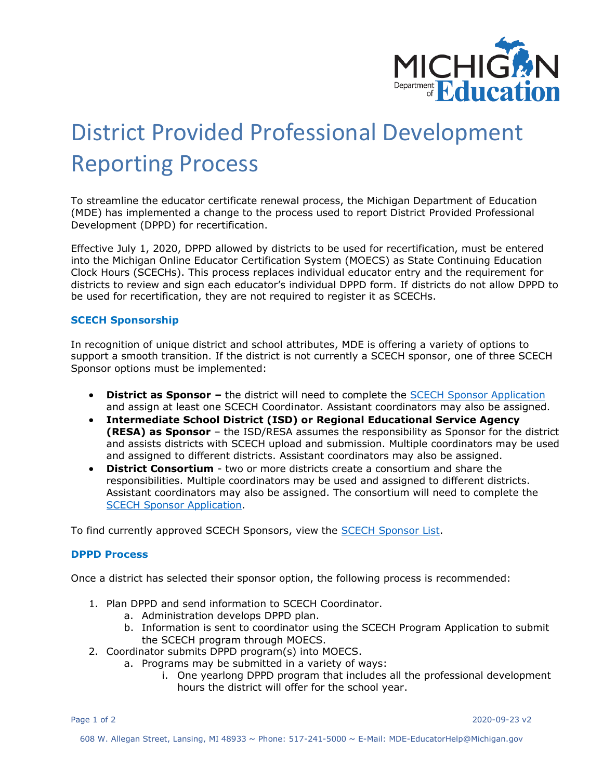

# District Provided Professional Development Reporting Process

To streamline the educator certificate renewal process, the Michigan Department of Education (MDE) has implemented a change to the process used to report District Provided Professional Development (DPPD) for recertification.

Effective July 1, 2020, DPPD allowed by districts to be used for recertification, must be entered into the Michigan Online Educator Certification System (MOECS) as State Continuing Education Clock Hours (SCECHs). This process replaces individual educator entry and the requirement for districts to review and sign each educator's individual DPPD form. If districts do not allow DPPD to be used for recertification, they are not required to register it as SCECHs.

#### **SCECH Sponsorship**

In recognition of unique district and school attributes, MDE is offering a variety of options to support a smooth transition. If the district is not currently a SCECH sponsor, one of three SCECH Sponsor options must be implemented:

- **District as Sponsor** the district will need to complete the **SCECH Sponsor Application** and assign at least one SCECH Coordinator. Assistant coordinators may also be assigned.
- **Intermediate School District (ISD) or Regional Educational Service Agency (RESA) as Sponsor** – the ISD/RESA assumes the responsibility as Sponsor for the district and assists districts with SCECH upload and submission. Multiple coordinators may be used and assigned to different districts. Assistant coordinators may also be assigned.
- **District Consortium** two or more districts create a consortium and share the responsibilities. Multiple coordinators may be used and assigned to different districts. Assistant coordinators may also be assigned. The consortium will need to complete the [SCECH Sponsor Application.](https://www.michigan.gov/documents/mde/SCECH_Sponsor_Application_705994_7.pdf)

To find currently approved SCECH Sponsors, view the **SCECH Sponsor List**.

## **DPPD Process**

Once a district has selected their sponsor option, the following process is recommended:

- 1. Plan DPPD and send information to SCECH Coordinator.
	- a. Administration develops DPPD plan.
	- b. Information is sent to coordinator using the SCECH Program Application to submit the SCECH program through MOECS.
- 2. Coordinator submits DPPD program(s) into MOECS.
	- a. Programs may be submitted in a variety of ways:
		- i. One yearlong DPPD program that includes all the professional development hours the district will offer for the school year.

Page 1 of 2 2020-09-23 v2